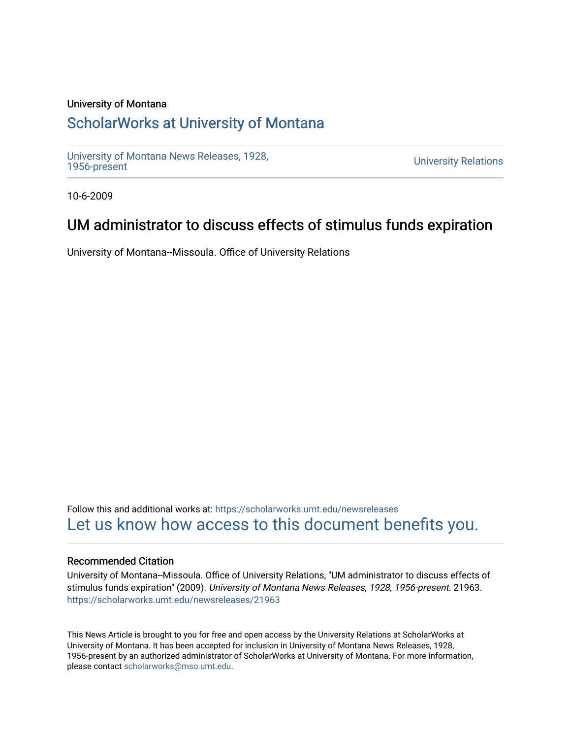### University of Montana

## [ScholarWorks at University of Montana](https://scholarworks.umt.edu/)

[University of Montana News Releases, 1928,](https://scholarworks.umt.edu/newsreleases) 

**University Relations** 

10-6-2009

# UM administrator to discuss effects of stimulus funds expiration

University of Montana--Missoula. Office of University Relations

Follow this and additional works at: [https://scholarworks.umt.edu/newsreleases](https://scholarworks.umt.edu/newsreleases?utm_source=scholarworks.umt.edu%2Fnewsreleases%2F21963&utm_medium=PDF&utm_campaign=PDFCoverPages) [Let us know how access to this document benefits you.](https://goo.gl/forms/s2rGfXOLzz71qgsB2) 

#### Recommended Citation

University of Montana--Missoula. Office of University Relations, "UM administrator to discuss effects of stimulus funds expiration" (2009). University of Montana News Releases, 1928, 1956-present. 21963. [https://scholarworks.umt.edu/newsreleases/21963](https://scholarworks.umt.edu/newsreleases/21963?utm_source=scholarworks.umt.edu%2Fnewsreleases%2F21963&utm_medium=PDF&utm_campaign=PDFCoverPages) 

This News Article is brought to you for free and open access by the University Relations at ScholarWorks at University of Montana. It has been accepted for inclusion in University of Montana News Releases, 1928, 1956-present by an authorized administrator of ScholarWorks at University of Montana. For more information, please contact [scholarworks@mso.umt.edu.](mailto:scholarworks@mso.umt.edu)